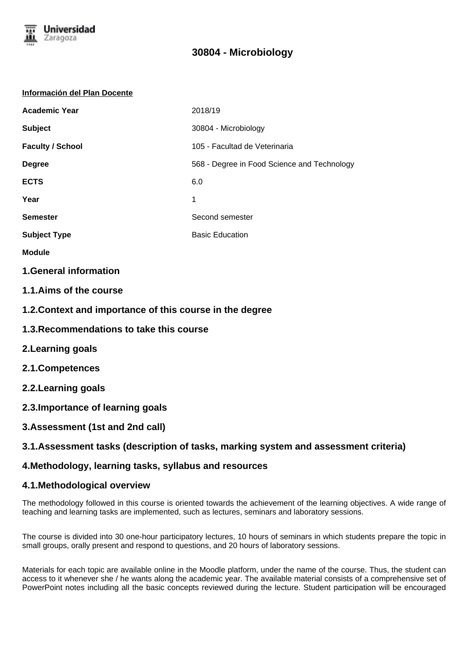

### **Información del Plan Docente**

| <b>Academic Year</b>    | 2018/19                                     |
|-------------------------|---------------------------------------------|
| <b>Subject</b>          | 30804 - Microbiology                        |
| <b>Faculty / School</b> | 105 - Facultad de Veterinaria               |
| <b>Degree</b>           | 568 - Degree in Food Science and Technology |
| <b>ECTS</b>             | 6.0                                         |
| Year                    | 1                                           |
| <b>Semester</b>         | Second semester                             |
| <b>Subject Type</b>     | <b>Basic Education</b>                      |

- **Module**
- **1.General information**
- **1.1.Aims of the course**
- **1.2.Context and importance of this course in the degree**
- **1.3.Recommendations to take this course**
- **2.Learning goals**
- **2.1.Competences**
- **2.2.Learning goals**
- **2.3.Importance of learning goals**
- **3.Assessment (1st and 2nd call)**

# **3.1.Assessment tasks (description of tasks, marking system and assessment criteria)**

# **4.Methodology, learning tasks, syllabus and resources**

# **4.1.Methodological overview**

The methodology followed in this course is oriented towards the achievement of the learning objectives. A wide range of teaching and learning tasks are implemented, such as lectures, seminars and laboratory sessions.

The course is divided into 30 one-hour participatory lectures, 10 hours of seminars in which students prepare the topic in small groups, orally present and respond to questions, and 20 hours of laboratory sessions.

Materials for each topic are available online in the Moodle platform, under the name of the course. Thus, the student can access to it whenever she / he wants along the academic year. The available material consists of a comprehensive set of PowerPoint notes including all the basic concepts reviewed during the lecture. Student participation will be encouraged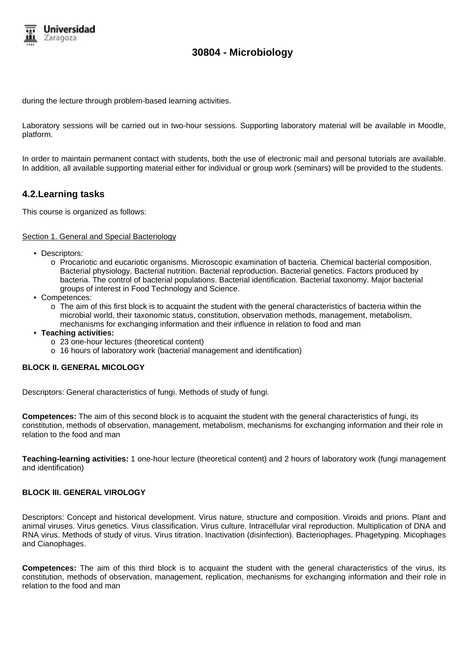

during the lecture through problem-based learning activities.

Laboratory sessions will be carried out in two-hour sessions. Supporting laboratory material will be available in Moodle, platform.

In order to maintain permanent contact with students, both the use of electronic mail and personal tutorials are available. In addition, all available supporting material either for individual or group work (seminars) will be provided to the students.

# **4.2.Learning tasks**

This course is organized as follows:

### Section 1. General and Special Bacteriology

- Descriptors:
	- o Procariotic and eucariotic organisms. Microscopic examination of bacteria. Chemical bacterial composition. Bacterial physiology. Bacterial nutrition. Bacterial reproduction. Bacterial genetics. Factors produced by bacteria. The control of bacterial populations. Bacterial identification. Bacterial taxonomy. Major bacterial groups of interest in Food Technology and Science.
- Competences:
	- o The aim of this first block is to acquaint the student with the general characteristics of bacteria within the microbial world, their taxonomic status, constitution, observation methods, management, metabolism, mechanisms for exchanging information and their influence in relation to food and man
- **Teaching activities:**
	- o 23 one-hour lectures (theoretical content)
	- o 16 hours of laboratory work (bacterial management and identification)

## **BLOCK II. GENERAL MICOLOGY**

Descriptors: General characteristics of fungi. Methods of study of fungi.

**Competences:** The aim of this second block is to acquaint the student with the general characteristics of fungi, its constitution, methods of observation, management, metabolism, mechanisms for exchanging information and their role in relation to the food and man

**Teaching-learning activities:** 1 one-hour lecture (theoretical content) and 2 hours of laboratory work (fungi management and identification)

## **BLOCK III. GENERAL VIROLOGY**

Descriptors: Concept and historical development. Virus nature, structure and composition. Viroids and prions. Plant and animal viruses. Virus genetics. Virus classification. Virus culture. Intracellular viral reproduction. Multiplication of DNA and RNA virus. Methods of study of virus. Virus titration. Inactivation (disinfection). Bacteriophages. Phagetyping. Micophages and Cianophages.

**Competences:** The aim of this third block is to acquaint the student with the general characteristics of the virus, its constitution, methods of observation, management, replication, mechanisms for exchanging information and their role in relation to the food and man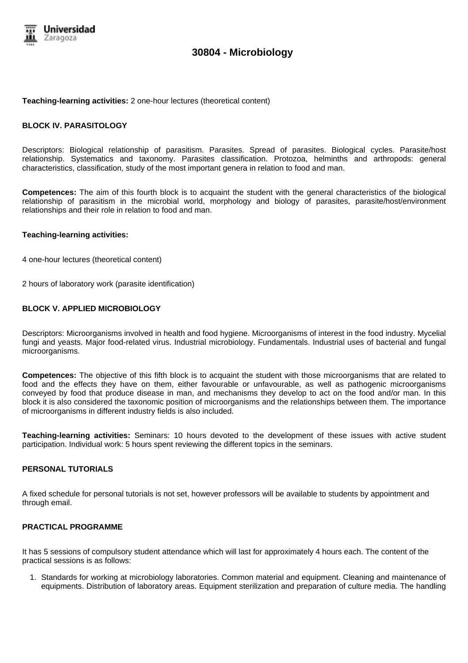

#### **Teaching-learning activities:** 2 one-hour lectures (theoretical content)

### **BLOCK IV. PARASITOLOGY**

Descriptors: Biological relationship of parasitism. Parasites. Spread of parasites. Biological cycles. Parasite/host relationship. Systematics and taxonomy. Parasites classification. Protozoa, helminths and arthropods: general characteristics, classification, study of the most important genera in relation to food and man.

**Competences:** The aim of this fourth block is to acquaint the student with the general characteristics of the biological relationship of parasitism in the microbial world, morphology and biology of parasites, parasite/host/environment relationships and their role in relation to food and man.

### **Teaching-learning activities:**

- 4 one-hour lectures (theoretical content)
- 2 hours of laboratory work (parasite identification)

### **BLOCK V. APPLIED MICROBIOLOGY**

Descriptors: Microorganisms involved in health and food hygiene. Microorganisms of interest in the food industry. Mycelial fungi and yeasts. Major food-related virus. Industrial microbiology. Fundamentals. Industrial uses of bacterial and fungal microorganisms.

**Competences:** The objective of this fifth block is to acquaint the student with those microorganisms that are related to food and the effects they have on them, either favourable or unfavourable, as well as pathogenic microorganisms conveyed by food that produce disease in man, and mechanisms they develop to act on the food and/or man. In this block it is also considered the taxonomic position of microorganisms and the relationships between them. The importance of microorganisms in different industry fields is also included.

**Teaching-learning activities:** Seminars: 10 hours devoted to the development of these issues with active student participation. Individual work: 5 hours spent reviewing the different topics in the seminars.

## **PERSONAL TUTORIALS**

A fixed schedule for personal tutorials is not set, however professors will be available to students by appointment and through email.

### **PRACTICAL PROGRAMME**

It has 5 sessions of compulsory student attendance which will last for approximately 4 hours each. The content of the practical sessions is as follows:

1. Standards for working at microbiology laboratories. Common material and equipment. Cleaning and maintenance of equipments. Distribution of laboratory areas. Equipment sterilization and preparation of culture media. The handling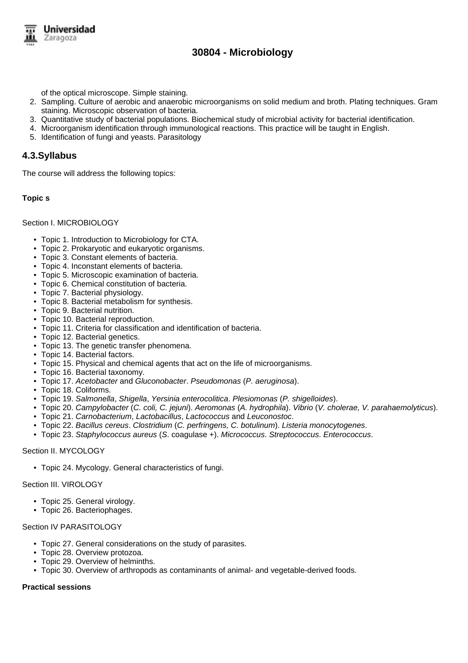

of the optical microscope. Simple staining.

- 2. Sampling. Culture of aerobic and anaerobic microorganisms on solid medium and broth. Plating techniques. Gram staining. Microscopic observation of bacteria.
- 3. Quantitative study of bacterial populations. Biochemical study of microbial activity for bacterial identification.
- 4. Microorganism identification through immunological reactions. This practice will be taught in English.
- 5. Identification of fungi and yeasts. Parasitology

## **4.3.Syllabus**

The course will address the following topics:

### **Topic s**

#### Section I. MICROBIOLOGY

- Topic 1. Introduction to Microbiology for CTA.
- Topic 2. Prokaryotic and eukaryotic organisms.
- Topic 3. Constant elements of bacteria.
- Topic 4. Inconstant elements of bacteria.
- Topic 5. Microscopic examination of bacteria.
- Topic 6. Chemical constitution of bacteria.
- Topic 7. Bacterial physiology.
- Topic 8. Bacterial metabolism for synthesis.
- Topic 9. Bacterial nutrition.
- Topic 10. Bacterial reproduction.
- Topic 11. Criteria for classification and identification of bacteria.
- Topic 12. Bacterial genetics.
- Topic 13. The genetic transfer phenomena.
- Topic 14. Bacterial factors.
- Topic 15. Physical and chemical agents that act on the life of microorganisms.
- Topic 16. Bacterial taxonomy.
- Topic 17. Acetobacter and Gluconobacter. Pseudomonas (P. aeruginosa).
- Topic 18. Coliforms.
- Topic 19. Salmonella, Shigella, Yersinia enterocolitica. Plesiomonas (P. shigelloides).
- Topic 20. Campylobacter (C. coli, C. jejuni). Aeromonas (A. hydrophila). Vibrio (V. cholerae, V. parahaemolyticus).
- Topic 21. Carnobacterium, Lactobacillus, Lactococcus and Leuconostoc.
- Topic 22. Bacillus cereus. Clostridium (C. perfringens, C. botulinum). Listeria monocytogenes.
- Topic 23. Staphylococcus aureus (S. coagulase +). Micrococcus. Streptococcus. Enterococcus.

### Section II. MYCOLOGY

• Topic 24. Mycology. General characteristics of fungi.

## Section III. VIROLOGY

- Topic 25. General virology.
- Topic 26. Bacteriophages.

# Section IV PARASITOLOGY

- Topic 27. General considerations on the study of parasites.
- Topic 28. Overview protozoa.
- Topic 29. Overview of helminths.
- Topic 30. Overview of arthropods as contaminants of animal- and vegetable-derived foods.

# **Practical sessions**